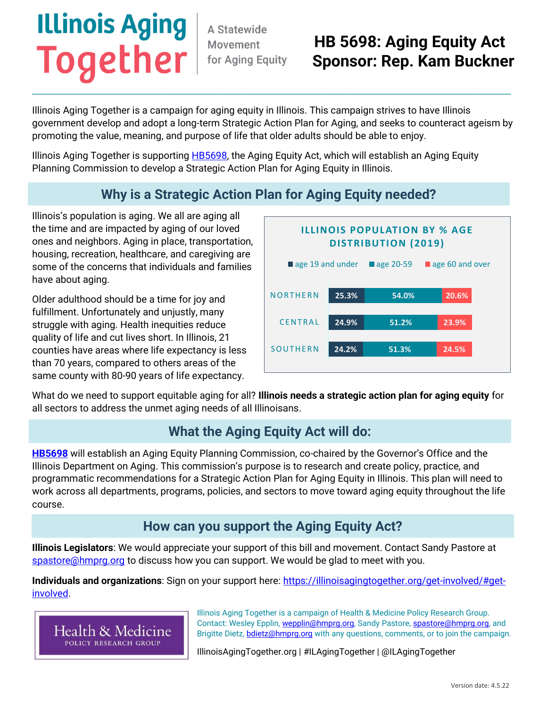# **Illinois Aging Together**

A Statewide Movement for Aging Equity

## **HB 5698: Aging Equity Act Sponsor: Rep. Kam Buckner**

Illinois Aging Together is a campaign for aging equity in Illinois. This campaign strives to have Illinois government develop and adopt a long-term Strategic Action Plan for Aging, and seeks to counteract ageism by promoting the value, meaning, and purpose of life that older adults should be able to enjoy.

\_\_\_\_\_\_\_\_\_\_\_\_\_\_\_\_\_\_\_\_\_\_\_\_\_\_\_\_\_\_\_\_\_\_\_\_\_\_\_\_\_\_\_\_\_\_\_\_\_\_\_\_\_\_\_\_\_\_\_\_\_\_\_\_\_\_\_\_\_\_\_\_\_\_\_\_\_\_\_\_\_\_\_\_\_\_\_\_\_\_\_\_\_\_\_\_\_\_\_\_\_\_\_\_\_\_\_\_\_\_\_\_\_\_\_\_\_\_\_

Illinois Aging Together is supporting **HB5698**, the Aging Equity Act, which will establish an Aging Equity Planning Commission to develop a Strategic Action Plan for Aging Equity in Illinois.

### **Why is a Strategic Action Plan for Aging Equity needed?**

Illinois's population is aging. We all are aging all the time and are impacted by aging of our loved ones and neighbors. Aging in place, transportation, housing, recreation, healthcare, and caregiving are some of the concerns that individuals and families have about aging.

Older adulthood should be a time for joy and fulfillment. Unfortunately and unjustly, many struggle with aging. Health inequities reduce quality of life and cut lives short. In Illinois, 21 counties have areas where life expectancy is less than 70 years, compared to others areas of the same county with 80-90 years of life expectancy.



What do we need to support equitable aging for all? **Illinois needs a strategic action plan for aging equity** for all sectors to address the unmet aging needs of all Illinoisans.

#### **What the Aging Equity Act will do:**

**[HB5698](https://www.ilga.gov/legislation/billstatus.asp?DocNum=5698&GAID=16&GA=102&DocTypeID=HB&LegID=140439&SessionID=110)** will establish an Aging Equity Planning Commission, co-chaired by the Governor's Office and the Illinois Department on Aging. This commission's purpose is to research and create policy, practice, and programmatic recommendations for a Strategic Action Plan for Aging Equity in Illinois. This plan will need to work across all departments, programs, policies, and sectors to move toward aging equity throughout the life course.

#### **How can you support the Aging Equity Act?**

**Illinois Legislators**: We would appreciate your support of this bill and movement. Contact Sandy Pastore at [spastore@hmprg.org](mailto:spastore@hmprg.org) to discuss how you can support. We would be glad to meet with you.

**Individuals and organizations**: Sign on your support here: [https://illinoisagingtogether.org/get-involved/#get](https://illinoisagingtogether.org/get-involved/#get-involved)[involved.](https://illinoisagingtogether.org/get-involved/#get-involved)



Illinois Aging Together is a campaign of Health & Medicine Policy Research Group. Contact: Wesley Epplin, [wepplin@hmprg.org,](mailto:wepplin@hmprg.org) Sandy Pastore, [spastore@hmprg.org,](mailto:spastore@hmprg.org) and Brigitte Dietz, **bdietz@hmprg.org** with any questions, comments, or to join the campaign.

IllinoisAgingTogether.org | #ILAgingTogether | @ILAgingTogether